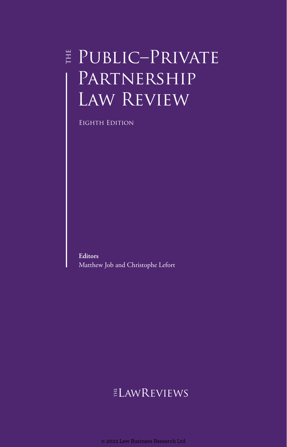# $\sharp$  PUBLIC–PRIVATE PARTNERSHIP Law Review

Eighth Edition

**Editors** Matthew Job and Christophe Lefort

### ELAWREVIEWS

© 2022 Law Business Research Ltd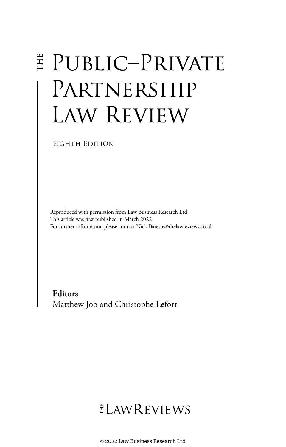# E PUBLIC–PRIVATE PARTNERSHIP Law Review

Eighth Edition

Reproduced with permission from Law Business Research Ltd This article was first published in March 2022 For further information please contact Nick.Barette@thelawreviews.co.uk

**Editors** Matthew Job and Christophe Lefort

### $ELMR$  EVIEWS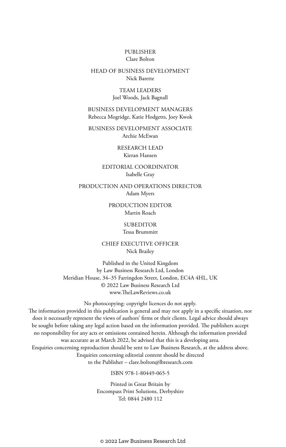#### PUBLISHER Clare Bolton

#### HEAD OF BUSINESS DEVELOPMENT Nick Barette

#### TEAM LEADERS Joel Woods, Jack Bagnall

BUSINESS DEVELOPMENT MANAGERS Rebecca Mogridge, Katie Hodgetts, Joey Kwok

BUSINESS DEVELOPMENT ASSOCIATE Archie McEwan

> RESEARCH LEAD Kieran Hansen

#### EDITORIAL COORDINATOR Isabelle Gray

PRODUCTION AND OPERATIONS DIRECTOR Adam Myers

> PRODUCTION EDITOR Martin Roach

> > **SUBEDITOR** Tessa Brummitt

CHIEF EXECUTIVE OFFICER Nick Brailey

Published in the United Kingdom by Law Business Research Ltd, London Meridian House, 34–35 Farringdon Street, London, EC4A 4HL, UK © 2022 Law Business Research Ltd www.TheLawReviews.co.uk

No photocopying: copyright licences do not apply. The information provided in this publication is general and may not apply in a specific situation, nor does it necessarily represent the views of authors' firms or their clients. Legal advice should always be sought before taking any legal action based on the information provided. The publishers accept no responsibility for any acts or omissions contained herein. Although the information provided was accurate as at March 2022, be advised that this is a developing area. Enquiries concerning reproduction should be sent to Law Business Research, at the address above. Enquiries concerning editorial content should be directed to the Publisher – clare.bolton@lbresearch.com

#### ISBN 978-1-80449-065-5

Printed in Great Britain by Encompass Print Solutions, Derbyshire Tel: 0844 2480 112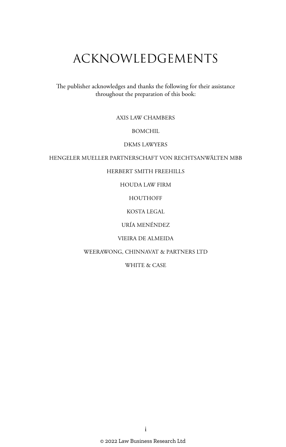### ACKNOWLEDGEMENTS

The publisher acknowledges and thanks the following for their assistance throughout the preparation of this book:

#### AXIS LAW CHAMBERS

BOMCHIL

#### DKMS LAWYERS

#### HENGELER MUELLER PARTNERSCHAFT VON RECHTSANWÄLTEN MBB

#### HERBERT SMITH FREEHILLS

HOUDA LAW FIRM

HOUTHOFF

#### KOSTA LEGAL

URÍA MENÉNDEZ

#### VIEIRA DE ALMEIDA

#### WEERAWONG, CHINNAVAT & PARTNERS LTD

WHITE & CASE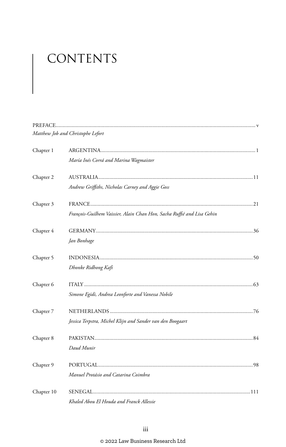## CONTENTS  $\overline{\phantom{a}}$

|            | Matthew Job and Christophe Lefort                                      |
|------------|------------------------------------------------------------------------|
| Chapter 1  |                                                                        |
|            | María Inés Corrá and Marina Wagmaister                                 |
| Chapter 2  |                                                                        |
|            | Andrew Griffiths, Nicholas Carney and Aggie Goss                       |
| Chapter 3  |                                                                        |
|            | François-Guilhem Vaissier, Alain Chan Hon, Sacha Ruffié and Lisa Gehin |
| Chapter 4  |                                                                        |
|            | Jan Bonhage                                                            |
| Chapter 5  |                                                                        |
|            | Dhonke Ridhong Kafi                                                    |
| Chapter 6  |                                                                        |
|            | Simone Egidi, Andrea Leonforte and Vanessa Nobile                      |
| Chapter 7  |                                                                        |
|            | Jessica Terpstra, Michel Klijn and Sander van den Boogaart             |
| Chapter 8  |                                                                        |
|            | Daud Munir                                                             |
| Chapter 9  |                                                                        |
|            | Manuel Protásio and Catarina Coimbra                                   |
| Chapter 10 |                                                                        |
|            | Khaled Abou El Houda and Franck Allessie                               |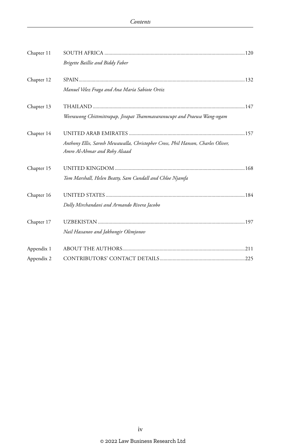| Chapter 11 |                                                                                                                   |  |
|------------|-------------------------------------------------------------------------------------------------------------------|--|
|            | Brigette Baillie and Biddy Faber                                                                                  |  |
| Chapter 12 |                                                                                                                   |  |
|            | Manuel Vélez Fraga and Ana María Sabiote Ortiz                                                                    |  |
| Chapter 13 |                                                                                                                   |  |
|            | Weerawong Chittmittrapap, Jirapat Thammavaranucupt and Praewa Wang-ngam                                           |  |
| Chapter 14 |                                                                                                                   |  |
|            | Anthony Ellis, Sarosh Mewawalla, Christopher Cross, Phil Hanson, Charles Oliver,<br>Amro Al-Ahmar and Rohy Alsaad |  |
| Chapter 15 |                                                                                                                   |  |
|            | Tom Marshall, Helen Beatty, Sam Cundall and Chloe Njamfa                                                          |  |
| Chapter 16 |                                                                                                                   |  |
|            | Dolly Mirchandani and Armando Rivera Jacobo                                                                       |  |
| Chapter 17 |                                                                                                                   |  |
|            | Nail Hassanov and Jakhongir Olimjonov                                                                             |  |
| Appendix 1 |                                                                                                                   |  |
| Appendix 2 |                                                                                                                   |  |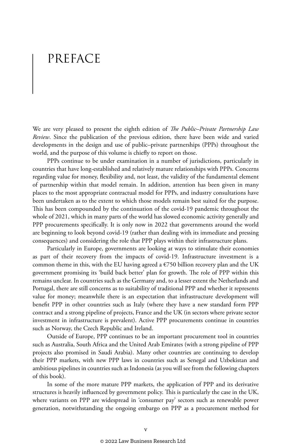### PREFACE

We are very pleased to present the eighth edition of *The Public–Private Partnership Law Review*. Since the publication of the previous edition, there have been wide and varied developments in the design and use of public–private partnerships (PPPs) throughout the world, and the purpose of this volume is chiefly to report on those.

PPPs continue to be under examination in a number of jurisdictions, particularly in countries that have long-established and relatively mature relationships with PPPs. Concerns regarding value for money, flexibility and, not least, the validity of the fundamental element of partnership within that model remain. In addition, attention has been given in many places to the most appropriate contractual model for PPPs, and industry consultations have been undertaken as to the extent to which those models remain best suited for the purpose. This has been compounded by the continuation of the covid-19 pandemic throughout the whole of 2021, which in many parts of the world has slowed economic activity generally and PPP procurements specifically. It is only now in 2022 that governments around the world are beginning to look beyond covid-19 (rather than dealing with its immediate and pressing consequences) and considering the role that PPP plays within their infrastructure plans.

Particularly in Europe, governments are looking at ways to stimulate their economies as part of their recovery from the impacts of covid-19. Infrastructure investment is a common theme in this, with the EU having agreed a  $\epsilon$ 750 billion recovery plan and the UK government promising its 'build back better' plan for growth. The role of PPP within this remains unclear. In countries such as the Germany and, to a lesser extent the Netherlands and Portugal, there are still concerns as to suitability of traditional PPP and whether it represents value for money; meanwhile there is an expectation that infrastructure development will benefit PPP in other countries such as Italy (where they have a new standard form PPP contract and a strong pipeline of projects, France and the UK (in sectors where private sector investment in infrastructure is prevalent). Active PPP procurements continue in countries such as Norway, the Czech Republic and Ireland.

Outside of Europe, PPP continues to be an important procurement tool in countries such as Australia, South Africa and the United Arab Emirates (with a strong pipeline of PPP projects also promised in Saudi Arabia). Many other countries are continuing to develop their PPP markets, with new PPP laws in countries such as Senegal and Uzbekistan and ambitious pipelines in countries such as Indonesia (as you will see from the following chapters of this book).

In some of the more mature PPP markets, the application of PPP and its derivative structures is heavily influenced by government policy. This is particularly the case in the UK, where variants on PPP are widespread in 'consumer pay' sectors such as renewable power generation, notwithstanding the ongoing embargo on PPP as a procurement method for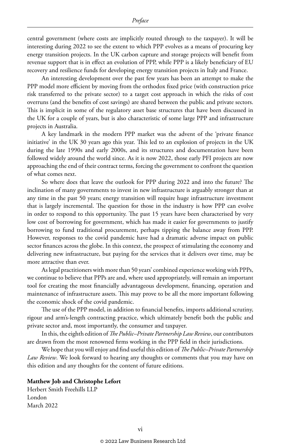central government (where costs are implicitly routed through to the taxpayer). It will be interesting during 2022 to see the extent to which PPP evolves as a means of procuring key energy transition projects. In the UK carbon capture and storage projects will benefit from revenue support that is in effect an evolution of PPP, while PPP is a likely beneficiary of EU recovery and resilience funds for developing energy transition projects in Italy and France.

An interesting development over the past few years has been an attempt to make the PPP model more efficient by moving from the orthodox fixed price (with construction price risk transferred to the private sector) to a target cost approach in which the risks of cost overruns (and the benefits of cost savings) are shared between the public and private sectors. This is implicit in some of the regulatory asset base structures that have been discussed in the UK for a couple of years, but is also characteristic of some large PPP and infrastructure projects in Australia.

A key landmark in the modern PPP market was the advent of the 'private finance initiative' in the UK 30 years ago this year. This led to an explosion of projects in the UK during the late 1990s and early 2000s, and its structures and documentation have been followed widely around the world since. As it is now 2022, those early PFI projects are now approaching the end of their contract terms, forcing the government to confront the question of what comes next.

So where does that leave the outlook for PPP during 2022 and into the future? The inclination of many governments to invest in new infrastructure is arguably stronger than at any time in the past 50 years; energy transition will require huge infrastructure investment that is largely incremental. The question for those in the industry is how PPP can evolve in order to respond to this opportunity. The past 15 years have been characterised by very low cost of borrowing for government, which has made it easier for governments to justify borrowing to fund traditional procurement, perhaps tipping the balance away from PPP. However, responses to the covid pandemic have had a dramatic adverse impact on public sector finances across the globe. In this context, the prospect of stimulating the economy and delivering new infrastructure, but paying for the services that it delivers over time, may be more attractive than ever.

As legal practitioners with more than 50 years' combined experience working with PPPs, we continue to believe that PPPs are and, where used appropriately, will remain an important tool for creating the most financially advantageous development, financing, operation and maintenance of infrastructure assets. This may prove to be all the more important following the economic shock of the covid pandemic.

The use of the PPP model, in addition to financial benefits, imports additional scrutiny, rigour and arm's-length contracting practice, which ultimately benefit both the public and private sector and, most importantly, the consumer and taxpayer.

In this, the eighth edition of *The Public–Private Partnership Law Review*, our contributors are drawn from the most renowned firms working in the PPP field in their jurisdictions.

We hope that you will enjoy and find useful this edition of *The Public–Private Partnership Law Review*. We look forward to hearing any thoughts or comments that you may have on this edition and any thoughts for the content of future editions.

#### **Matthew Job and Christophe Lefort**

Herbert Smith Freehills LLP London March 2022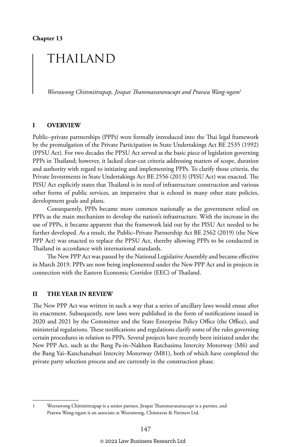### THAILAND

*Weerawong Chittmittrapap, Jirapat Thammavaranucupt and Praewa Wang-ngam*<sup>1</sup>

#### **I OVERVIEW**

Public–private partnerships (PPPs) were formally introduced into the Thai legal framework by the promulgation of the Private Participation in State Undertakings Act BE 2535 (1992) (PPSU Act). For two decades the PPSU Act served as the basic piece of legislation governing PPPs in Thailand; however, it lacked clear-cut criteria addressing matters of scope, duration and authority with regard to initiating and implementing PPPs. To clarify those criteria, the Private Investments in State Undertakings Act BE 2556 (2013) (PISU Act) was enacted. The PISU Act explicitly states that Thailand is in need of infrastructure construction and various other forms of public services, an imperative that is echoed in many other state policies, development goals and plans.

Consequently, PPPs became more common nationally as the government relied on PPPs as the main mechanism to develop the nation's infrastructure. With the increase in the use of PPPs, it became apparent that the framework laid out by the PISU Act needed to be further developed. As a result, the Public–Private Partnership Act BE 2562 (2019) (the New PPP Act) was enacted to replace the PPSU Act, thereby allowing PPPs to be conducted in Thailand in accordance with international standards.

The New PPP Act was passed by the National Legislative Assembly and became effective in March 2019. PPPs are now being implemented under the New PPP Act and in projects in connection with the Eastern Economic Corridor (EEC) of Thailand.

#### **II THE YEAR IN REVIEW**

The New PPP Act was written in such a way that a series of ancillary laws would ensue after its enactment. Subsequently, new laws were published in the form of notifications issued in 2020 and 2021 by the Committee and the State Enterprise Policy Office (the Office), and ministerial regulations. These notifications and regulations clarify some of the rules governing certain procedures in relation to PPPs. Several projects have recently been initiated under the New PPP Act, such as the Bang Pa-in–Nakhon Ratchasima Intercity Motorway (M6) and the Bang Yai–Kanchanaburi Intercity Motorway (M81), both of which have completed the private party selection process and are currently in the construction phase.

<sup>1</sup> Weerawong Chittmittrapap is a senior partner, Jirapat Thammavaranucupt is a partner, and Praewa Wang-ngam is an associate at Weerawong, Chinnavat & Partners Ltd.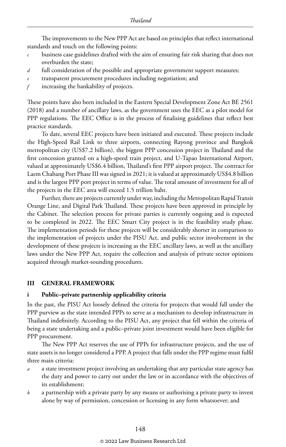The improvements to the New PPP Act are based on principles that reflect international standards and touch on the following points:

- *c* business case guidelines drafted with the aim of ensuring fair risk sharing that does not overburden the state;
- *d* full consideration of the possible and appropriate government support measures;
- *e* transparent procurement procedures including negotiation; and
- *f* increasing the bankability of projects.

These points have also been included in the Eastern Special Development Zone Act BE 2561 (2018) and a number of ancillary laws, as the government uses the EEC as a pilot model for PPP regulations. The EEC Office is in the process of finalising guidelines that reflect best practice standards.

To date, several EEC projects have been initiated and executed. These projects include the High-Speed Rail Link to three airports, connecting Rayong province and Bangkok metropolitan city (US\$7.2 billion), the biggest PPP concession project in Thailand and the first concession granted on a high-speed train project, and U-Tapao International Airport, valued at approximately US\$6.4 billion, Thailand's first PPP airport project. The contract for Laem Chabang Port Phase III was signed in 2021; it is valued at approximately US\$4.8 billion and is the largest PPP port project in terms of value. The total amount of investment for all of the projects in the EEC area will exceed 1.5 trillion baht.

Further, there are projects currently under way, including the Metropolitan Rapid Transit Orange Line, and Digital Park Thailand. These projects have been approved in principle by the Cabinet. The selection process for private parties is currently ongoing and is expected to be completed in 2022. The EEC Smart City project is in the feasibility study phase. The implementation periods for these projects will be considerably shorter in comparison to the implementation of projects under the PISU Act, and public sector involvement in the development of these projects is increasing as the EEC ancillary laws, as well as the ancillary laws under the New PPP Act, require the collection and analysis of private sector opinions acquired through market-sounding procedures.

#### **III GENERAL FRAMEWORK**

#### **i Public–private partnership applicability criteria**

In the past, the PISU Act loosely defined the criteria for projects that would fall under the PPP purview as the state intended PPPs to serve as a mechanism to develop infrastructure in Thailand indefinitely. According to the PISU Act, any project that fell within the criteria of being a state undertaking and a public–private joint investment would have been eligible for PPP procurement.

The New PPP Act reserves the use of PPPs for infrastructure projects, and the use of state assets is no longer considered a PPP. A project that falls under the PPP regime must fulfil three main criteria:

- *a* a state investment project involving an undertaking that any particular state agency has the duty and power to carry out under the law or in accordance with the objectives of its establishment;
- *b* a partnership with a private party by any means or authorising a private party to invest alone by way of permission, concession or licensing in any form whatsoever; and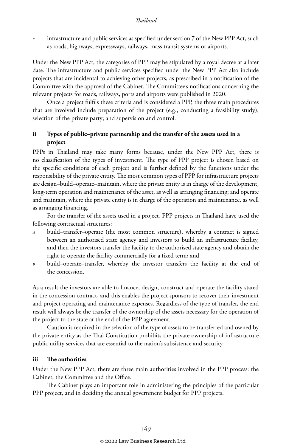infrastructure and public services as specified under section 7 of the New PPP Act, such as roads, highways, expressways, railways, mass transit systems or airports.

Under the New PPP Act, the categories of PPP may be stipulated by a royal decree at a later date. The infrastructure and public services specified under the New PPP Act also include projects that are incidental to achieving other projects, as prescribed in a notification of the Committee with the approval of the Cabinet. The Committee's notifications concerning the relevant projects for roads, railways, ports and airports were published in 2020.

Once a project fulfils these criteria and is considered a PPP, the three main procedures that are involved include preparation of the project (e.g., conducting a feasibility study); selection of the private party; and supervision and control.

#### **ii Types of public–private partnership and the transfer of the assets used in a project**

PPPs in Thailand may take many forms because, under the New PPP Act, there is no classification of the types of investment. The type of PPP project is chosen based on the specific conditions of each project and is further defined by the functions under the responsibility of the private entity. The most common types of PPP for infrastructure projects are design–build–operate–maintain, where the private entity is in charge of the development, long-term operation and maintenance of the asset, as well as arranging financing; and operate and maintain, where the private entity is in charge of the operation and maintenance, as well as arranging financing.

For the transfer of the assets used in a project, PPP projects in Thailand have used the following contractual structures:

- build-transfer-operate (the most common structure), whereby a contract is signed between an authorised state agency and investors to build an infrastructure facility, and then the investors transfer the facility to the authorised state agency and obtain the right to operate the facility commercially for a fixed term; and
- *b* build–operate–transfer, whereby the investor transfers the facility at the end of the concession.

As a result the investors are able to finance, design, construct and operate the facility stated in the concession contract, and this enables the project sponsors to recover their investment and project operating and maintenance expenses. Regardless of the type of transfer, the end result will always be the transfer of the ownership of the assets necessary for the operation of the project to the state at the end of the PPP agreement.

Caution is required in the selection of the type of assets to be transferred and owned by the private entity as the Thai Constitution prohibits the private ownership of infrastructure public utility services that are essential to the nation's subsistence and security.

#### **iii The authorities**

Under the New PPP Act, there are three main authorities involved in the PPP process: the Cabinet, the Committee and the Office.

The Cabinet plays an important role in administering the principles of the particular PPP project, and in deciding the annual government budget for PPP projects.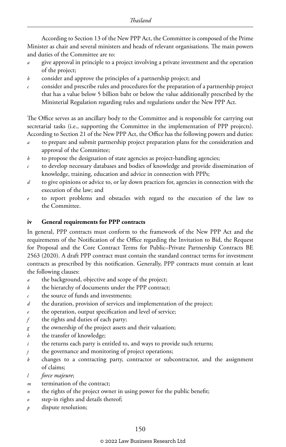According to Section 13 of the New PPP Act, the Committee is composed of the Prime Minister as chair and several ministers and heads of relevant organisations. The main powers and duties of the Committee are to:

- *a* give approval in principle to a project involving a private investment and the operation of the project;
- *b* consider and approve the principles of a partnership project; and
- *c* consider and prescribe rules and procedures for the preparation of a partnership project that has a value below 5 billion baht or below the value additionally prescribed by the Ministerial Regulation regarding rules and regulations under the New PPP Act.

The Office serves as an ancillary body to the Committee and is responsible for carrying out secretarial tasks (i.e., supporting the Committee in the implementation of PPP projects). According to Section 21 of the New PPP Act, the Office has the following powers and duties:

- *a* to prepare and submit partnership project preparation plans for the consideration and approval of the Committee;
- *b* to propose the designation of state agencies as project-handling agencies;
- *c* to develop necessary databases and bodies of knowledge and provide dissemination of knowledge, training, education and advice in connection with PPPs;
- *d* to give opinions or advice to, or lay down practices for, agencies in connection with the execution of the law; and
- to report problems and obstacles with regard to the execution of the law to the Committee.

#### **iv General requirements for PPP contracts**

In general, PPP contracts must conform to the framework of the New PPP Act and the requirements of the Notification of the Office regarding the Invitation to Bid, the Request for Proposal and the Core Contract Terms for Public–Private Partnership Contracts BE 2563 (2020). A draft PPP contract must contain the standard contract terms for investment contracts as prescribed by this notification. Generally, PPP contracts must contain at least the following clauses:

- *a* the background, objective and scope of the project;
- *b* the hierarchy of documents under the PPP contract;
- *c* the source of funds and investments;
- *d* the duration, provision of services and implementation of the project;
- *e* the operation, output specification and level of service;
- *f* the rights and duties of each party;
- *g* the ownership of the project assets and their valuation;
- *h* the transfer of knowledge;
- *i* the returns each party is entitled to, and ways to provide such returns;
- *j* the governance and monitoring of project operations;
- *k* changes to a contracting party, contractor or subcontractor, and the assignment of claims;
- *l force majeure*;
- *m* termination of the contract;
- *n* the rights of the project owner in using power for the public benefit;
- *o* step-in rights and details thereof;
- *p* dispute resolution;

#### © 2022 Law Business Research Ltd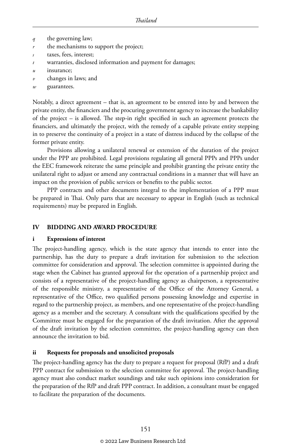- *q* the governing law;
- the mechanisms to support the project;
- *s* taxes, fees, interest;
- warranties, disclosed information and payment for damages;
- *u* insurance;
- *v* changes in laws; and
- *w* guarantees.

Notably, a direct agreement – that is, an agreement to be entered into by and between the private entity, the financiers and the procuring government agency to increase the bankability of the project – is allowed. The step-in right specified in such an agreement protects the financiers, and ultimately the project, with the remedy of a capable private entity stepping in to preserve the continuity of a project in a state of distress induced by the collapse of the former private entity.

Provisions allowing a unilateral renewal or extension of the duration of the project under the PPP are prohibited. Legal provisions regulating all general PPPs and PPPs under the EEC framework reiterate the same principle and prohibit granting the private entity the unilateral right to adjust or amend any contractual conditions in a manner that will have an impact on the provision of public services or benefits to the public sector.

PPP contracts and other documents integral to the implementation of a PPP must be prepared in Thai. Only parts that are necessary to appear in English (such as technical requirements) may be prepared in English.

#### **IV BIDDING AND AWARD PROCEDURE**

#### **i Expressions of interest**

The project-handling agency, which is the state agency that intends to enter into the partnership, has the duty to prepare a draft invitation for submission to the selection committee for consideration and approval. The selection committee is appointed during the stage when the Cabinet has granted approval for the operation of a partnership project and consists of a representative of the project-handling agency as chairperson, a representative of the responsible ministry, a representative of the Office of the Attorney General, a representative of the Office, two qualified persons possessing knowledge and expertise in regard to the partnership project, as members, and one representative of the project-handling agency as a member and the secretary. A consultant with the qualifications specified by the Committee must be engaged for the preparation of the draft invitation. After the approval of the draft invitation by the selection committee, the project-handling agency can then announce the invitation to bid.

#### **ii Requests for proposals and unsolicited proposals**

The project-handling agency has the duty to prepare a request for proposal (RfP) and a draft PPP contract for submission to the selection committee for approval. The project-handling agency must also conduct market soundings and take such opinions into consideration for the preparation of the RfP and draft PPP contract. In addition, a consultant must be engaged to facilitate the preparation of the documents.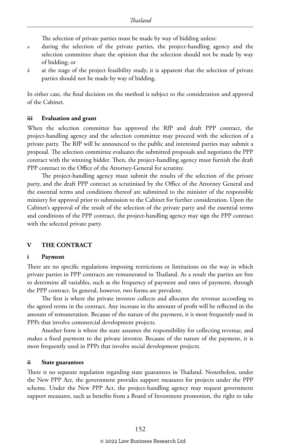The selection of private parties must be made by way of bidding unless:

- *a* during the selection of the private parties, the project-handling agency and the selection committee share the opinion that the selection should not be made by way of bidding; or
- *b* at the stage of the project feasibility study, it is apparent that the selection of private parties should not be made by way of bidding.

In either case, the final decision on the method is subject to the consideration and approval of the Cabinet.

#### **iii Evaluation and grant**

When the selection committee has approved the RfP and draft PPP contract, the project-handling agency and the selection committee may proceed with the selection of a private party. The RfP will be announced to the public and interested parties may submit a proposal. The selection committee evaluates the submitted proposals and negotiates the PPP contract with the winning bidder. Then, the project-handling agency must furnish the draft PPP contract to the Office of the Attorney-General for scrutiny.

The project-handling agency must submit the results of the selection of the private party, and the draft PPP contract as scrutinised by the Office of the Attorney General and the essential terms and conditions thereof are submitted to the minister of the responsible ministry for approval prior to submission to the Cabinet for further consideration. Upon the Cabinet's approval of the result of the selection of the private party and the essential terms and conditions of the PPP contract, the project-handling agency may sign the PPP contract with the selected private party.

#### **V THE CONTRACT**

#### **i Payment**

There are no specific regulations imposing restrictions or limitations on the way in which private parties in PPP contracts are remunerated in Thailand. As a result the parties are free to determine all variables, such as the frequency of payment and rates of payment, through the PPP contract. In general, however, two forms are prevalent.

The first is where the private investor collects and allocates the revenue according to the agreed terms in the contract. Any increase in the amount of profit will be reflected in the amount of remuneration. Because of the nature of the payment, it is most frequently used in PPPs that involve commercial development projects.

Another form is where the state assumes the responsibility for collecting revenue, and makes a fixed payment to the private investor. Because of the nature of the payment, it is most frequently used in PPPs that involve social development projects.

#### **ii State guarantees**

There is no separate regulation regarding state guarantees in Thailand. Nonetheless, under the New PPP Act, the government provides support measures for projects under the PPP scheme. Under the New PPP Act, the project-handling agency may request government support measures, such as benefits from a Board of Investment promotion, the right to take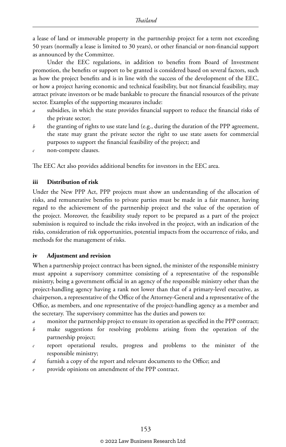a lease of land or immovable property in the partnership project for a term not exceeding 50 years (normally a lease is limited to 30 years), or other financial or non-financial support as announced by the Committee.

Under the EEC regulations, in addition to benefits from Board of Investment promotion, the benefits or support to be granted is considered based on several factors, such as how the project benefits and is in line with the success of the development of the EEC, or how a project having economic and technical feasibility, but not financial feasibility, may attract private investors or be made bankable to procure the financial resources of the private sector. Examples of the supporting measures include:

- subsidies, in which the state provides financial support to reduce the financial risks of the private sector;
- *b* the granting of rights to use state land (e.g., during the duration of the PPP agreement, the state may grant the private sector the right to use state assets for commercial purposes to support the financial feasibility of the project; and
- *c* non-compete clauses.

The EEC Act also provides additional benefits for investors in the EEC area.

#### **iii Distribution of risk**

Under the New PPP Act, PPP projects must show an understanding of the allocation of risks, and remunerative benefits to private parties must be made in a fair manner, having regard to the achievement of the partnership project and the value of the operation of the project. Moreover, the feasibility study report to be prepared as a part of the project submission is required to include the risks involved in the project, with an indication of the risks, consideration of risk opportunities, potential impacts from the occurrence of risks, and methods for the management of risks.

#### **iv Adjustment and revision**

When a partnership project contract has been signed, the minister of the responsible ministry must appoint a supervisory committee consisting of a representative of the responsible ministry, being a government official in an agency of the responsible ministry other than the project-handling agency having a rank not lower than that of a primary-level executive, as chairperson, a representative of the Office of the Attorney-General and a representative of the Office, as members, and one representative of the project-handling agency as a member and the secretary. The supervisory committee has the duties and powers to:

- *a* monitor the partnership project to ensure its operation as specified in the PPP contract;
- *b* make suggestions for resolving problems arising from the operation of the partnership project;
- *c* report operational results, progress and problems to the minister of the responsible ministry;
- *d* furnish a copy of the report and relevant documents to the Office; and
- *e* provide opinions on amendment of the PPP contract.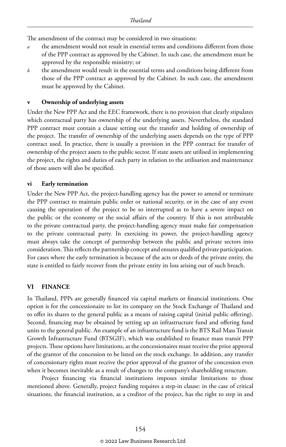The amendment of the contract may be considered in two situations:

- *a* the amendment would not result in essential terms and conditions different from those of the PPP contract as approved by the Cabinet. In such case, the amendment must be approved by the responsible ministry; or
- *b* the amendment would result in the essential terms and conditions being different from those of the PPP contract as approved by the Cabinet. In such case, the amendment must be approved by the Cabinet.

#### **v Ownership of underlying assets**

Under the New PPP Act and the EEC framework, there is no provision that clearly stipulates which contractual party has ownership of the underlying assets. Nevertheless, the standard PPP contract must contain a clause setting out the transfer and holding of ownership of the project. The transfer of ownership of the underlying assets depends on the type of PPP contract used. In practice, there is usually a provision in the PPP contract for transfer of ownership of the project assets to the public sector. If state assets are utilised in implementing the project, the rights and duties of each party in relation to the utilisation and maintenance of those assets will also be specified.

#### **vi Early termination**

Under the New PPP Act, the project-handling agency has the power to amend or terminate the PPP contract to maintain public order or national security, or in the case of any event causing the operation of the project to be so interrupted as to have a severe impact on the public or the economy or the social affairs of the country. If this is not attributable to the private contractual party, the project-handling agency must make fair compensation to the private contractual party. In exercising its power, the project-handling agency must always take the concept of partnership between the public and private sectors into consideration. This reflects the partnership concept and ensures qualified private participation. For cases where the early termination is because of the acts or deeds of the private entity, the state is entitled to fairly recover from the private entity its loss arising out of such breach.

#### **VI FINANCE**

In Thailand, PPPs are generally financed via capital markets or financial institutions. One option is for the concessionaire to list its company on the Stock Exchange of Thailand and to offer its shares to the general public as a means of raising capital (initial public offering). Second, financing may be obtained by setting up an infrastructure fund and offering fund units to the general public. An example of an infrastructure fund is the BTS Rail Mass Transit Growth Infrastructure Fund (BTSGIF), which was established to finance mass transit PPP projects. These options have limitations, as the concessionaires must receive the prior approval of the grantor of the concession to be listed on the stock exchange. In addition, any transfer of concessionary rights must receive the prior approval of the grantor of the concession even when it becomes inevitable as a result of changes to the company's shareholding structure.

Project financing via financial institutions imposes similar limitations to those mentioned above. Generally, project funding requires a step-in clause: in the case of critical situations, the financial institution, as a creditor of the project, has the right to step in and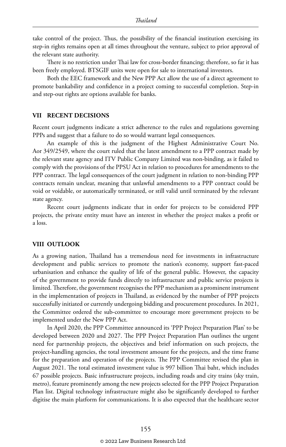take control of the project. Thus, the possibility of the financial institution exercising its step-in rights remains open at all times throughout the venture, subject to prior approval of the relevant state authority.

There is no restriction under Thai law for cross-border financing; therefore, so far it has been freely employed. BTSGIF units were open for sale to international investors.

Both the EEC framework and the New PPP Act allow the use of a direct agreement to promote bankability and confidence in a project coming to successful completion. Step-in and step-out rights are options available for banks.

#### **VII RECENT DECISIONS**

Recent court judgments indicate a strict adherence to the rules and regulations governing PPPs and suggest that a failure to do so would warrant legal consequences.

An example of this is the judgment of the Highest Administrative Court No. Aor 349/2549, where the court ruled that the latest amendment to a PPP contract made by the relevant state agency and ITV Public Company Limited was non-binding, as it failed to comply with the provisions of the PPSU Act in relation to procedures for amendments to the PPP contract. The legal consequences of the court judgment in relation to non-binding PPP contracts remain unclear, meaning that unlawful amendments to a PPP contract could be void or voidable, or automatically terminated, or still valid until terminated by the relevant state agency.

Recent court judgments indicate that in order for projects to be considered PPP projects, the private entity must have an interest in whether the project makes a profit or a loss.

#### **VIII OUTLOOK**

As a growing nation, Thailand has a tremendous need for investments in infrastructure development and public services to promote the nation's economy, support fast-paced urbanisation and enhance the quality of life of the general public. However, the capacity of the government to provide funds directly to infrastructure and public service projects is limited. Therefore, the government recognises the PPP mechanism as a prominent instrument in the implementation of projects in Thailand, as evidenced by the number of PPP projects successfully initiated or currently undergoing bidding and procurement procedures. In 2021, the Committee ordered the sub-committee to encourage more government projects to be implemented under the New PPP Act.

In April 2020, the PPP Committee announced its 'PPP Project Preparation Plan' to be developed between 2020 and 2027. The PPP Project Preparation Plan outlines the urgent need for partnership projects, the objectives and brief information on such projects, the project-handling agencies, the total investment amount for the projects, and the time frame for the preparation and operation of the projects. The PPP Committee revised the plan in August 2021. The total estimated investment value is 997 billion Thai baht, which includes 67 possible projects. Basic infrastructure projects, including roads and city trains (sky train, metro), feature prominently among the new projects selected for the PPP Project Preparation Plan list. Digital technology infrastructure might also be significantly developed to further digitise the main platform for communications. It is also expected that the healthcare sector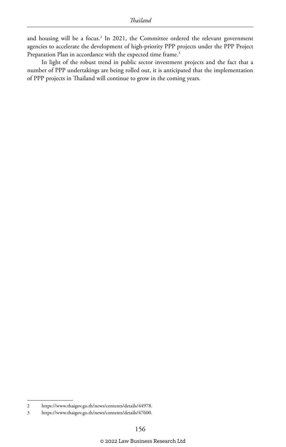and housing will be a focus.<sup>2</sup> In 2021, the Committee ordered the relevant government agencies to accelerate the development of high-priority PPP projects under the PPP Project Preparation Plan in accordance with the expected time frame.<sup>3</sup>

In light of the robust trend in public sector investment projects and the fact that a number of PPP undertakings are being rolled out, it is anticipated that the implementation of PPP projects in Thailand will continue to grow in the coming years.

<sup>2</sup> https://www.thaigov.go.th/news/contents/details/44978.

<sup>3</sup> https://www.thaigov.go.th/news/contents/details/47600.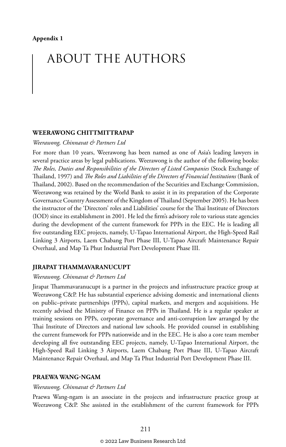### ABOUT THE AUTHORS

#### **WEERAWONG CHITTMITTRAPAP**

*Weerawong, Chinnavat & Partners Ltd*

For more than 10 years, Weerawong has been named as one of Asia's leading lawyers in several practice areas by legal publications. Weerawong is the author of the following books: *The Roles, Duties and Responsibilities of the Directors of Listed Companies* (Stock Exchange of Thailand, 1997) and *The Roles and Liabilities of the Directors of Financial Institutions* (Bank of Thailand, 2002). Based on the recommendation of the Securities and Exchange Commission, Weerawong was retained by the World Bank to assist it in its preparation of the Corporate Governance Country Assessment of the Kingdom of Thailand (September 2005). He has been the instructor of the 'Directors' roles and Liabilities' course for the Thai Institute of Directors (IOD) since its establishment in 2001. He led the firm's advisory role to various state agencies during the development of the current framework for PPPs in the EEC. He is leading all five outstanding EEC projects, namely, U-Tapao International Airport, the High-Speed Rail Linking 3 Airports, Laem Chabang Port Phase III, U-Tapao Aircraft Maintenance Repair Overhaul, and Map Ta Phut Industrial Port Development Phase III.

#### **JIRAPAT THAMMAVARANUCUPT**

#### *Weerawong, Chinnavat & Partners Ltd*

Jirapat Thammavaranucupt is a partner in the projects and infrastructure practice group at Weerawong C&P. He has substantial experience advising domestic and international clients on public–private partnerships (PPPs), capital markets, and mergers and acquisitions. He recently advised the Ministry of Finance on PPPs in Thailand. He is a regular speaker at training sessions on PPPs, corporate governance and anti-corruption law arranged by the Thai Institute of Directors and national law schools. He provided counsel in establishing the current framework for PPPs nationwide and in the EEC. He is also a core team member developing all five outstanding EEC projects, namely, U-Tapao International Airport, the High-Speed Rail Linking 3 Airports, Laem Chabang Port Phase III, U-Tapao Aircraft Maintenance Repair Overhaul, and Map Ta Phut Industrial Port Development Phase III.

#### **PRAEWA WANG-NGAM**

#### *Weerawong, Chinnavat & Partners Ltd*

Praewa Wang-ngam is an associate in the projects and infrastructure practice group at Weerawong C&P. She assisted in the establishment of the current framework for PPPs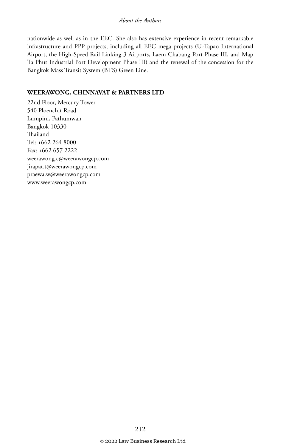nationwide as well as in the EEC. She also has extensive experience in recent remarkable infrastructure and PPP projects, including all EEC mega projects (U-Tapao International Airport, the High-Speed Rail Linking 3 Airports, Laem Chabang Port Phase III, and Map Ta Phut Industrial Port Development Phase III) and the renewal of the concession for the Bangkok Mass Transit System (BTS) Green Line.

#### **WEERAWONG, CHINNAVAT & PARTNERS LTD**

22nd Floor, Mercury Tower 540 Ploenchit Road Lumpini, Pathumwan Bangkok 10330 Thailand Tel: +662 264 8000 Fax: +662 657 2222 weerawong.c@weerawongcp.com jirapat.t@weerawongcp.com praewa.w@weerawongcp.com www.weerawongcp.com